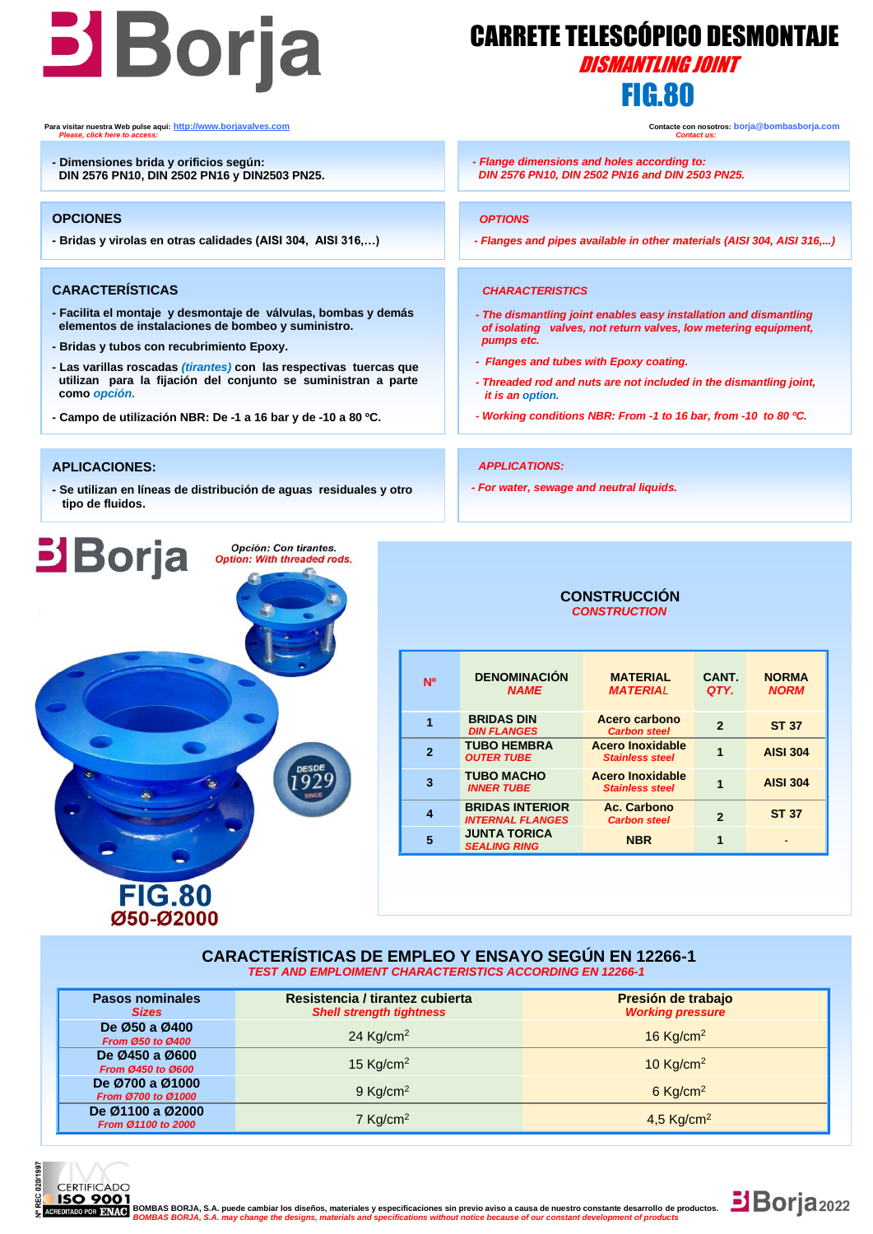# **Boria** CARRETE TELESCÓPICO DES **FIG.80 FIG.80**

## CARRETE TELESCÓPICO DESMONTAJE

*- Flanges and pipes available in other materials (AISI 304, AISI 316,...)*

*- The dismantling joint enables easy installation and dismantling of isolating valves, not return valves, low metering equipment,* 

 *- Threaded rod and nuts are not included in the dismantling joint,*

 *- Working conditions NBR: From -1 to 16 bar, from -10 to 80 ºC.*

**Para visitar nuestra Web pulse aquí: [http://www.borjavalves.com](http://www.borjavalves.com/) Contacte con nosotros: borja@bombasborja.com**  *Please, click here to access: Contact us:* 

**- Dimensiones brida y orificios según: DIN 2576 PN10, DIN 2502 PN16 y DIN2503 PN25.**

### **OPCIONES**

**- Bridas y virolas en otras calidades (AISI 304, AISI 316,…)**

## **CARACTERÍSTICAS**

- **- Facilita el montaje y desmontaje de válvulas, bombas y demás elementos de instalaciones de bombeo y suministro.**
- **- Bridas y tubos con recubrimiento Epoxy.**

**FIG.80** Ø50-Ø2000

- **- Las varillas roscadas** *(tirantes)* **con las respectivas tuercas que utilizan para la fijación del conjunto se suministran a parte como** *opción***.**
- **- Campo de utilización NBR: De -1 a 16 bar y de -10 a 80 ºC.**

#### **APLICACIONES:**

**Borja** 

**- Se utilizan en líneas de distribución de aguas residuales y otro tipo de fluidos.**

> Opción: Con tirantes. Option: With threaded rods.



 *- Flanges and tubes with Epoxy coating.* 

*- Flange dimensions and holes according to: DIN 2576 PN10, DIN 2502 PN16 and DIN 2503 PN25.*

*- For water, sewage and neutral liquids.*

 *OPTIONS*

 *pumps etc.*

 *it is an option.*

*APPLICATIONS:*

 *CHARACTERISTICS*

| <b>N°</b> | <b>DENOMINACIÓN</b><br><b>NAME</b>                | <b>MATERIAL</b><br><b>MATERIAL</b>                | CANT.<br>QTY.  | <b>NORMA</b><br><b>NORM</b> |
|-----------|---------------------------------------------------|---------------------------------------------------|----------------|-----------------------------|
|           | <b>BRIDAS DIN</b><br><b>DIN FLANGES</b>           | Acero carbono<br><b>Carbon steel</b>              | $\overline{2}$ | <b>ST 37</b>                |
|           | <b>TUBO HEMBRA</b><br><b>OUTER TUBE</b>           | <b>Acero Inoxidable</b><br><b>Stainless steel</b> |                | <b>AISI 304</b>             |
| 3         | <b>TUBO MACHO</b><br><b>INNER TUBE</b>            | <b>Acero Inoxidable</b><br><b>Stainless steel</b> |                | <b>AISI 304</b>             |
|           | <b>BRIDAS INTERIOR</b><br><b>INTERNAL FLANGES</b> | Ac. Carbono<br><b>Carbon steel</b>                | $\overline{2}$ | <b>ST 37</b>                |
| 5         | <b>JUNTA TORICA</b><br><b>SEALING RING</b>        | <b>NBR</b>                                        | 1              |                             |

#### **CARACTERÍSTICAS DE EMPLEO Y ENSAYO SEGÚN EN 12266-1** *TEST AND EMPLOIMENT CHARACTERISTICS ACCORDING EN 12266-1*

| <b>Pasos nominales</b><br><b>Sizes</b>   | Resistencia / tirantez cubierta<br><b>Shell strength tightness</b> | Presión de trabajo<br><b>Working pressure</b> |  |  |  |  |
|------------------------------------------|--------------------------------------------------------------------|-----------------------------------------------|--|--|--|--|
| De Ø50 a Ø400<br><b>From Ø50 to Ø400</b> | 24 Kg/cm <sup>2</sup>                                              | 16 Kg/cm <sup>2</sup>                         |  |  |  |  |
| De Ø450 a Ø600<br>From Ø450 to Ø600      | 15 $Kg/cm2$                                                        | 10 Kg/cm <sup>2</sup>                         |  |  |  |  |
| De Ø700 a Ø1000<br>From Ø700 to Ø1000    | $9$ Kg/cm <sup>2</sup>                                             | $6$ Kg/cm <sup>2</sup>                        |  |  |  |  |
| De Ø1100 a Ø2000<br>From Ø1100 to 2000   | 7 Kg/cm <sup>2</sup>                                               | 4,5 Kg/cm <sup>2</sup>                        |  |  |  |  |